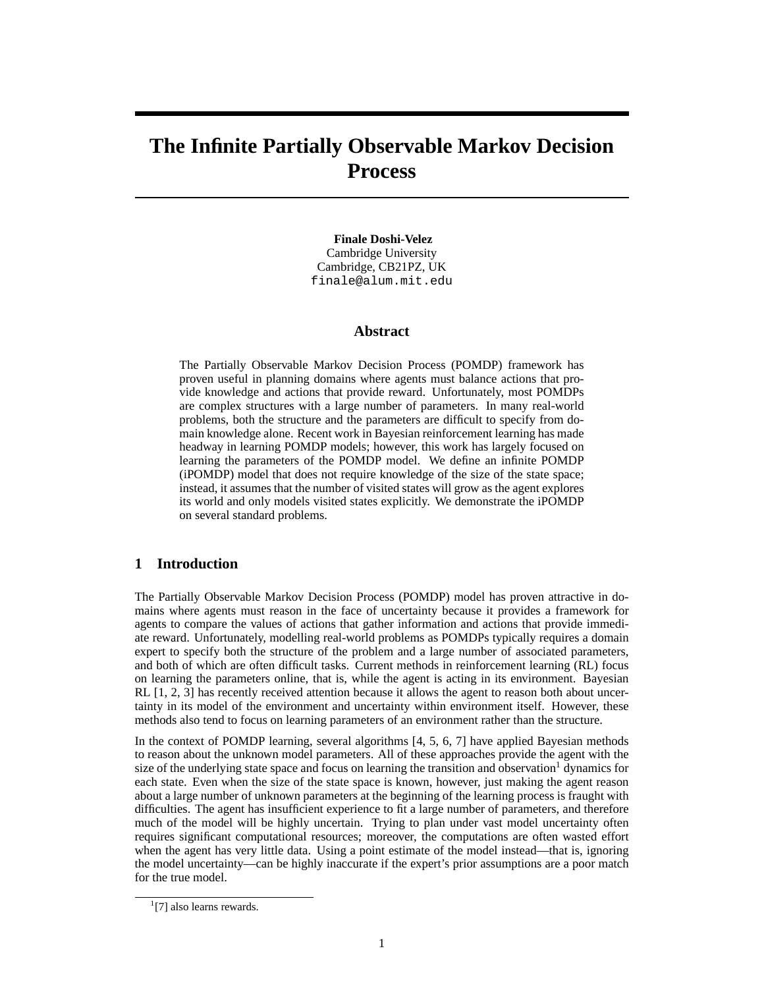# **The Infinite Partially Observable Markov Decision Process**

**Finale Doshi-Velez** Cambridge University Cambridge, CB21PZ, UK finale@alum.mit.edu

## **Abstract**

The Partially Observable Markov Decision Process (POMDP) framework has proven useful in planning domains where agents must balance actions that provide knowledge and actions that provide reward. Unfortunately, most POMDPs are complex structures with a large number of parameters. In many real-world problems, both the structure and the parameters are difficult to specify from domain knowledge alone. Recent work in Bayesian reinforcement learning has made headway in learning POMDP models; however, this work has largely focused on learning the parameters of the POMDP model. We define an infinite POMDP (iPOMDP) model that does not require knowledge of the size of the state space; instead, it assumes that the number of visited states will grow as the agent explores its world and only models visited states explicitly. We demonstrate the iPOMDP on several standard problems.

## **1 Introduction**

The Partially Observable Markov Decision Process (POMDP) model has proven attractive in domains where agents must reason in the face of uncertainty because it provides a framework for agents to compare the values of actions that gather information and actions that provide immediate reward. Unfortunately, modelling real-world problems as POMDPs typically requires a domain expert to specify both the structure of the problem and a large number of associated parameters, and both of which are often difficult tasks. Current methods in reinforcement learning (RL) focus on learning the parameters online, that is, while the agent is acting in its environment. Bayesian RL [1, 2, 3] has recently received attention because it allows the agent to reason both about uncertainty in its model of the environment and uncertainty within environment itself. However, these methods also tend to focus on learning parameters of an environment rather than the structure.

In the context of POMDP learning, several algorithms [4, 5, 6, 7] have applied Bayesian methods to reason about the unknown model parameters. All of these approaches provide the agent with the size of the underlying state space and focus on learning the transition and observation<sup>1</sup> dynamics for each state. Even when the size of the state space is known, however, just making the agent reason about a large number of unknown parameters at the beginning of the learning process is fraught with difficulties. The agent has insufficient experience to fit a large number of parameters, and therefore much of the model will be highly uncertain. Trying to plan under vast model uncertainty often requires significant computational resources; moreover, the computations are often wasted effort when the agent has very little data. Using a point estimate of the model instead—that is, ignoring the model uncertainty—can be highly inaccurate if the expert's prior assumptions are a poor match for the true model.

<sup>&</sup>lt;sup>1</sup>[7] also learns rewards.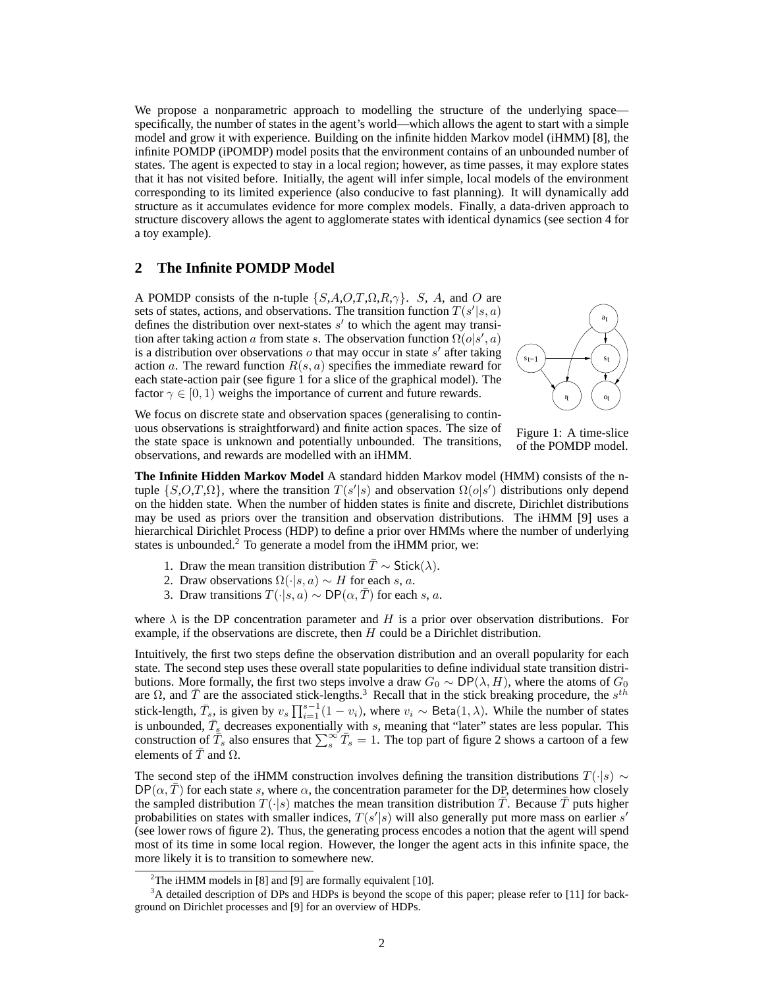We propose a nonparametric approach to modelling the structure of the underlying space specifically, the number of states in the agent's world—which allows the agent to start with a simple model and grow it with experience. Building on the infinite hidden Markov model (iHMM) [8], the infinite POMDP (iPOMDP) model posits that the environment contains of an unbounded number of states. The agent is expected to stay in a local region; however, as time passes, it may explore states that it has not visited before. Initially, the agent will infer simple, local models of the environment corresponding to its limited experience (also conducive to fast planning). It will dynamically add structure as it accumulates evidence for more complex models. Finally, a data-driven approach to structure discovery allows the agent to agglomerate states with identical dynamics (see section 4 for a toy example).

# **2 The Infinite POMDP Model**

A POMDP consists of the n-tuple  $\{S, A, O, T, \Omega, R, \gamma\}$ . S, A, and O are sets of states, actions, and observations. The transition function  $T(s'|s, a)$ defines the distribution over next-states  $s'$  to which the agent may transition after taking action a from state s. The observation function  $\Omega(o|s', a)$ is a distribution over observations  $o$  that may occur in state  $s'$  after taking action a. The reward function  $R(s, a)$  specifies the immediate reward for each state-action pair (see figure 1 for a slice of the graphical model). The factor  $\gamma \in [0, 1)$  weighs the importance of current and future rewards.



We focus on discrete state and observation spaces (generalising to continuous observations is straightforward) and finite action spaces. The size of the state space is unknown and potentially unbounded. The transitions, observations, and rewards are modelled with an iHMM.

Figure 1: A time-slice of the POMDP model.

**The Infinite Hidden Markov Model** A standard hidden Markov model (HMM) consists of the ntuple  $\{S, O, T, \Omega\}$ , where the transition  $T(s'|s)$  and observation  $\Omega(o|s')$  distributions only depend on the hidden state. When the number of hidden states is finite and discrete, Dirichlet distributions may be used as priors over the transition and observation distributions. The iHMM [9] uses a hierarchical Dirichlet Process (HDP) to define a prior over HMMs where the number of underlying states is unbounded.<sup>2</sup> To generate a model from the iHMM prior, we:

- 1. Draw the mean transition distribution  $\overline{T} \sim \mathsf{Stick}(\lambda)$ .
- 2. Draw observations  $\Omega(\cdot|s, a) \sim H$  for each s, a.
- 3. Draw transitions  $T(\cdot|s, a) \sim \text{DP}(\alpha, \overline{T})$  for each s, a.

where  $\lambda$  is the DP concentration parameter and H is a prior over observation distributions. For example, if the observations are discrete, then  $H$  could be a Dirichlet distribution.

Intuitively, the first two steps define the observation distribution and an overall popularity for each state. The second step uses these overall state popularities to define individual state transition distributions. More formally, the first two steps involve a draw  $G_0 \sim DP(\lambda, H)$ , where the atoms of  $G_0$ are  $\Omega$ , and  $\bar{T}$  are the associated stick-lengths.<sup>3</sup> Recall that in the stick breaking procedure, the s<sup>th</sup> stick-length,  $\bar{T}_s$ , is given by  $v_s \prod_{i=1}^{s-1} (1 - v_i)$ , where  $v_i \sim \text{Beta}(1, \lambda)$ . While the number of states is unbounded,  $\bar{T}_s$  decreases exponentially with s, meaning that "later" states are less popular. This construction of  $\overline{T}_s$  also ensures that  $\sum_{s=1}^{\infty} \overline{T}_s = 1$ . The top part of figure 2 shows a cartoon of a few elements of  $\overline{T}$  and  $\Omega$ .

The second step of the iHMM construction involves defining the transition distributions  $T(\cdot|s) \sim$  $DP(\alpha, T)$  for each state s, where  $\alpha$ , the concentration parameter for the DP, determines how closely the sampled distribution  $T(\cdot|s)$  matches the mean transition distribution  $\overline{T}$ . Because  $\overline{T}$  puts higher probabilities on states with smaller indices,  $T(s'|s)$  will also generally put more mass on earlier s' (see lower rows of figure 2). Thus, the generating process encodes a notion that the agent will spend most of its time in some local region. However, the longer the agent acts in this infinite space, the more likely it is to transition to somewhere new.

<sup>&</sup>lt;sup>2</sup>The iHMM models in [8] and [9] are formally equivalent [10].

<sup>&</sup>lt;sup>3</sup>A detailed description of DPs and HDPs is beyond the scope of this paper; please refer to [11] for background on Dirichlet processes and [9] for an overview of HDPs.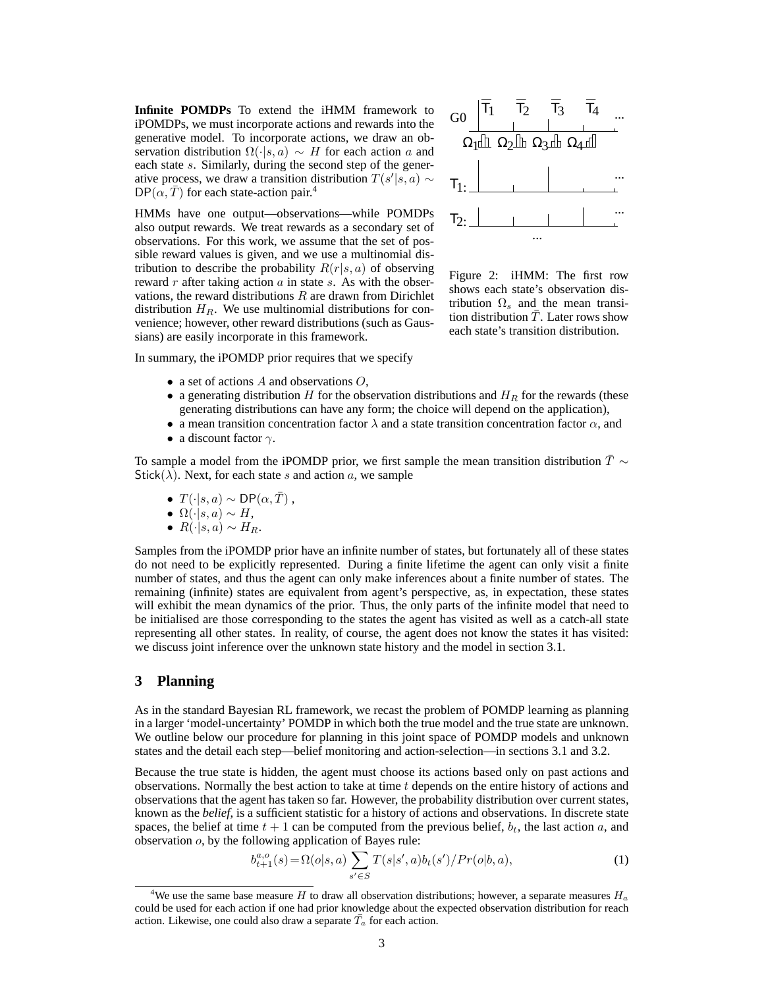**Infinite POMDPs** To extend the iHMM framework to iPOMDPs, we must incorporate actions and rewards into the generative model. To incorporate actions, we draw an observation distribution  $\Omega(\cdot|s, a) \sim H$  for each action a and each state s. Similarly, during the second step of the generative process, we draw a transition distribution  $T(s'|s, a) \sim$  $DP(\alpha, T)$  for each state-action pair.<sup>4</sup>

HMMs have one output—observations—while POMDPs also output rewards. We treat rewards as a secondary set of observations. For this work, we assume that the set of possible reward values is given, and we use a multinomial distribution to describe the probability  $R(r|s, a)$  of observing reward  $r$  after taking action  $a$  in state  $s$ . As with the observations, the reward distributions  $R$  are drawn from Dirichlet distribution  $H_R$ . We use multinomial distributions for convenience; however, other reward distributions (such as Gaussians) are easily incorporate in this framework.



Figure 2: iHMM: The first row shows each state's observation distribution  $\Omega_s$  and the mean transition distribution  $\overline{T}$ . Later rows show each state's transition distribution.

In summary, the iPOMDP prior requires that we specify

- a set of actions  $A$  and observations  $O$ ,
- a generating distribution H for the observation distributions and  $H<sub>R</sub>$  for the rewards (these generating distributions can have any form; the choice will depend on the application),
- a mean transition concentration factor  $\lambda$  and a state transition concentration factor  $\alpha$ , and
- a discount factor  $\gamma$ .

To sample a model from the iPOMDP prior, we first sample the mean transition distribution  $\bar{T} \sim$ Stick( $\lambda$ ). Next, for each state s and action a, we sample

- $T(\cdot|s,a) \sim \mathsf{DP}(\alpha, \overline{T})$ ,
- $\Omega(\cdot|s,a) \sim H$ ,
- $R(\cdot|s,a) \sim H_R$ .

Samples from the iPOMDP prior have an infinite number of states, but fortunately all of these states do not need to be explicitly represented. During a finite lifetime the agent can only visit a finite number of states, and thus the agent can only make inferences about a finite number of states. The remaining (infinite) states are equivalent from agent's perspective, as, in expectation, these states will exhibit the mean dynamics of the prior. Thus, the only parts of the infinite model that need to be initialised are those corresponding to the states the agent has visited as well as a catch-all state representing all other states. In reality, of course, the agent does not know the states it has visited: we discuss joint inference over the unknown state history and the model in section 3.1.

## **3 Planning**

As in the standard Bayesian RL framework, we recast the problem of POMDP learning as planning in a larger 'model-uncertainty' POMDP in which both the true model and the true state are unknown. We outline below our procedure for planning in this joint space of POMDP models and unknown states and the detail each step—belief monitoring and action-selection—in sections 3.1 and 3.2.

Because the true state is hidden, the agent must choose its actions based only on past actions and observations. Normally the best action to take at time  $t$  depends on the entire history of actions and observations that the agent has taken so far. However, the probability distribution over current states, known as the *belief*, is a sufficient statistic for a history of actions and observations. In discrete state spaces, the belief at time  $t + 1$  can be computed from the previous belief,  $b_t$ , the last action a, and observation o, by the following application of Bayes rule:

$$
b_{t+1}^{a,o}(s) = \Omega(o|s,a) \sum_{s' \in S} T(s|s',a) b_t(s') / Pr(o|b,a), \tag{1}
$$

<sup>&</sup>lt;sup>4</sup>We use the same base measure H to draw all observation distributions; however, a separate measures  $H_a$ could be used for each action if one had prior knowledge about the expected observation distribution for reach action. Likewise, one could also draw a separate  $\overline{T}_a$  for each action.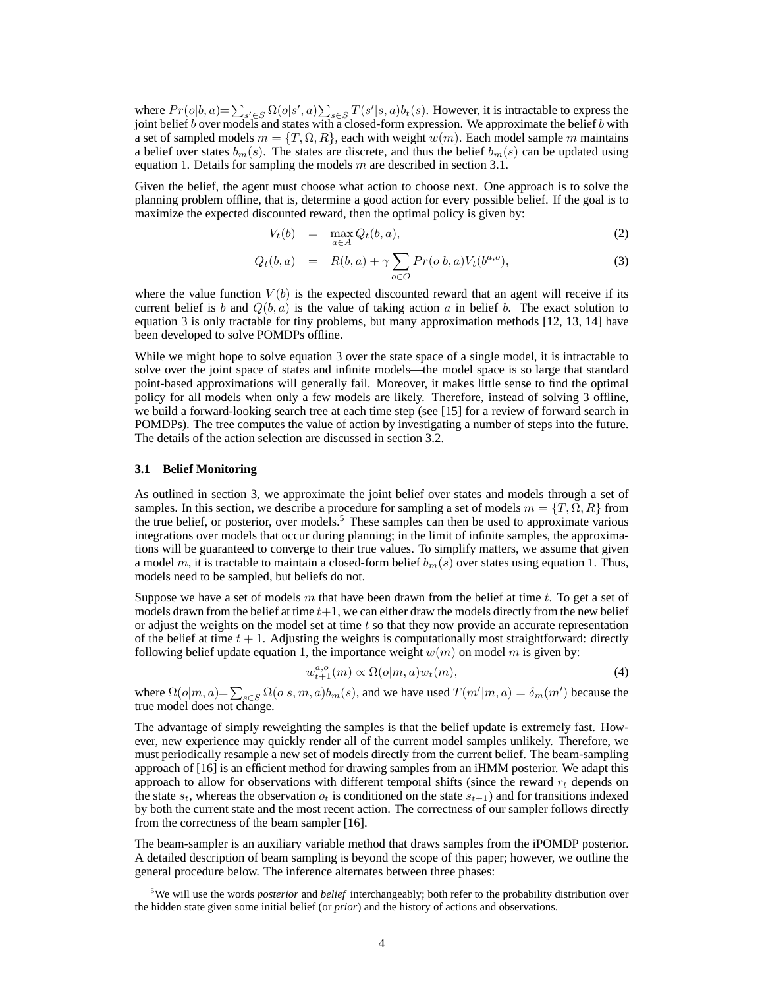where  $Pr(o|b, a) = \sum_{s' \in S} \Omega(o|s', a) \sum_{s \in S} T(s'|s, a) b_t(s)$ . However, it is intractable to express the joint belief b over models and states with a closed-form expression. We approximate the belief b with a set of sampled models  $m = \{T, \Omega, R\}$ , each with weight  $w(m)$ . Each model sample m maintains a belief over states  $b_m(s)$ . The states are discrete, and thus the belief  $b_m(s)$  can be updated using equation 1. Details for sampling the models  $m$  are described in section 3.1.

Given the belief, the agent must choose what action to choose next. One approach is to solve the planning problem offline, that is, determine a good action for every possible belief. If the goal is to maximize the expected discounted reward, then the optimal policy is given by:

$$
V_t(b) = \max_{a \in A} Q_t(b, a), \tag{2}
$$

$$
Q_t(b, a) = R(b, a) + \gamma \sum_{o \in O} Pr(o|b, a) V_t(b^{a, o}), \qquad (3)
$$

where the value function  $V(b)$  is the expected discounted reward that an agent will receive if its current belief is b and  $Q(b, a)$  is the value of taking action a in belief b. The exact solution to equation 3 is only tractable for tiny problems, but many approximation methods [12, 13, 14] have been developed to solve POMDPs offline.

While we might hope to solve equation 3 over the state space of a single model, it is intractable to solve over the joint space of states and infinite models—the model space is so large that standard point-based approximations will generally fail. Moreover, it makes little sense to find the optimal policy for all models when only a few models are likely. Therefore, instead of solving 3 offline, we build a forward-looking search tree at each time step (see [15] for a review of forward search in POMDPs). The tree computes the value of action by investigating a number of steps into the future. The details of the action selection are discussed in section 3.2.

#### **3.1 Belief Monitoring**

As outlined in section 3, we approximate the joint belief over states and models through a set of samples. In this section, we describe a procedure for sampling a set of models  $m = \{T, \Omega, R\}$  from the true belief, or posterior, over models.<sup>5</sup> These samples can then be used to approximate various integrations over models that occur during planning; in the limit of infinite samples, the approximations will be guaranteed to converge to their true values. To simplify matters, we assume that given a model m, it is tractable to maintain a closed-form belief  $b_m(s)$  over states using equation 1. Thus, models need to be sampled, but beliefs do not.

Suppose we have a set of models  $m$  that have been drawn from the belief at time  $t$ . To get a set of models drawn from the belief at time  $t+1$ , we can either draw the models directly from the new belief or adjust the weights on the model set at time  $t$  so that they now provide an accurate representation of the belief at time  $t + 1$ . Adjusting the weights is computationally most straightforward: directly following belief update equation 1, the importance weight  $w(m)$  on model m is given by:

$$
w_{t+1}^{a,o}(m) \propto \Omega(o|m, a)w_t(m), \tag{4}
$$

where  $\Omega(o|m, a) = \sum_{s \in S} \Omega(o|s, m, a)b_m(s)$ , and we have used  $T(m'|m, a) = \delta_m(m')$  because the true model does not change.

The advantage of simply reweighting the samples is that the belief update is extremely fast. However, new experience may quickly render all of the current model samples unlikely. Therefore, we must periodically resample a new set of models directly from the current belief. The beam-sampling approach of [16] is an efficient method for drawing samples from an iHMM posterior. We adapt this approach to allow for observations with different temporal shifts (since the reward  $r_t$  depends on the state  $s_t$ , whereas the observation  $o_t$  is conditioned on the state  $s_{t+1}$ ) and for transitions indexed by both the current state and the most recent action. The correctness of our sampler follows directly from the correctness of the beam sampler [16].

The beam-sampler is an auxiliary variable method that draws samples from the iPOMDP posterior. A detailed description of beam sampling is beyond the scope of this paper; however, we outline the general procedure below. The inference alternates between three phases:

<sup>5</sup>We will use the words *posterior* and *belief* interchangeably; both refer to the probability distribution over the hidden state given some initial belief (or *prior*) and the history of actions and observations.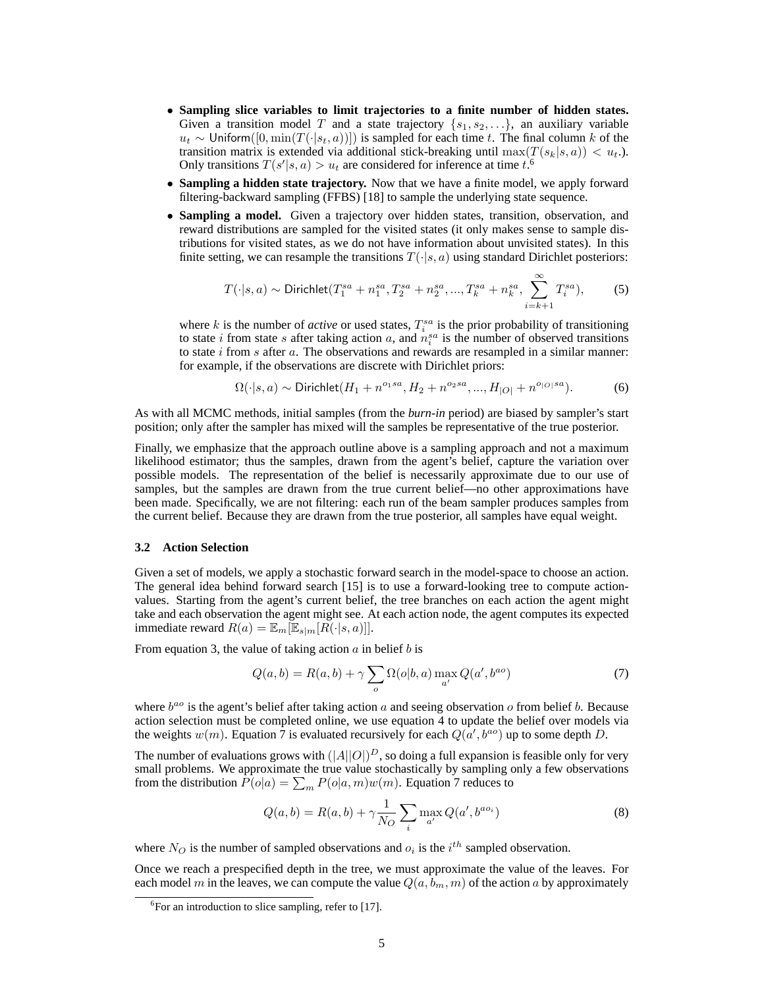- **Sampling slice variables to limit trajectories to a finite number of hidden states.** Given a transition model T and a state trajectory  $\{s_1, s_2, \ldots\}$ , an auxiliary variable  $u_t$  ∼ Uniform([0, min(T(·|s<sub>t</sub>, a))]) is sampled for each time t. The final column k of the transition matrix is extended via additional stick-breaking until  $\max(T(s_k|s, a)) < u_t$ . Only transitions  $T(s'|s, a) > u_t$  are considered for inference at time  $t^{\delta}$ .
- **Sampling a hidden state trajectory.** Now that we have a finite model, we apply forward filtering-backward sampling (FFBS) [18] to sample the underlying state sequence.
- **Sampling a model.** Given a trajectory over hidden states, transition, observation, and reward distributions are sampled for the visited states (it only makes sense to sample distributions for visited states, as we do not have information about unvisited states). In this finite setting, we can resample the transitions  $T(\cdot|s, a)$  using standard Dirichlet posteriors:

$$
T(\cdot|s,a) \sim \text{Dirichlet}(T_1^{sa} + n_1^{sa}, T_2^{sa} + n_2^{sa}, ..., T_k^{sa} + n_k^{sa}, \sum_{i=k+1}^{\infty} T_i^{sa}), \tag{5}
$$

where  $k$  is the number of *active* or used states,  $T_i^{sa}$  is the prior probability of transitioning to state *i* from state *s* after taking action *a*, and  $n_i^{sa}$  is the number of observed transitions to state  $i$  from  $s$  after  $a$ . The observations and rewards are resampled in a similar manner: for example, if the observations are discrete with Dirichlet priors:

$$
\Omega(\cdot|s,a) \sim \text{Dirichlet}(H_1 + n^{o_1sa}, H_2 + n^{o_2sa}, ..., H_{|O|} + n^{o_{|O|}sa}).\tag{6}
$$

As with all MCMC methods, initial samples (from the *burn-in* period) are biased by sampler's start position; only after the sampler has mixed will the samples be representative of the true posterior.

Finally, we emphasize that the approach outline above is a sampling approach and not a maximum likelihood estimator; thus the samples, drawn from the agent's belief, capture the variation over possible models. The representation of the belief is necessarily approximate due to our use of samples, but the samples are drawn from the true current belief—no other approximations have been made. Specifically, we are not filtering: each run of the beam sampler produces samples from the current belief. Because they are drawn from the true posterior, all samples have equal weight.

#### **3.2 Action Selection**

Given a set of models, we apply a stochastic forward search in the model-space to choose an action. The general idea behind forward search [15] is to use a forward-looking tree to compute actionvalues. Starting from the agent's current belief, the tree branches on each action the agent might take and each observation the agent might see. At each action node, the agent computes its expected immediate reward  $R(a) = \mathbb{E}_m[\mathbb{E}_{s|m}[R(\cdot|s,a)]].$ 

From equation 3, the value of taking action  $\alpha$  in belief  $b$  is

$$
Q(a,b) = R(a,b) + \gamma \sum_{o} \Omega(o|b,a) \max_{a'} Q(a',b^{ao})
$$
\n<sup>(7)</sup>

where  $b^{ao}$  is the agent's belief after taking action a and seeing observation o from belief b. Because action selection must be completed online, we use equation 4 to update the belief over models via the weights  $w(m)$ . Equation  $\bar{7}$  is evaluated recursively for each  $Q(a', b^{ao})$  up to some depth D.

The number of evaluations grows with  $(|A||O|)^D$ , so doing a full expansion is feasible only for very small problems. We approximate the true value stochastically by sampling only a few observations from the distribution  $P(o|a) = \sum_m P(o|a, m)w(m)$ . Equation 7 reduces to

$$
Q(a,b) = R(a,b) + \gamma \frac{1}{N_O} \sum_{i} \max_{a'} Q(a',b^{ao_i})
$$
 (8)

where  $N_O$  is the number of sampled observations and  $o_i$  is the  $i^{th}$  sampled observation.

Once we reach a prespecified depth in the tree, we must approximate the value of the leaves. For each model m in the leaves, we can compute the value  $Q(a, b_m, m)$  of the action a by approximately

<sup>&</sup>lt;sup>6</sup>For an introduction to slice sampling, refer to [17].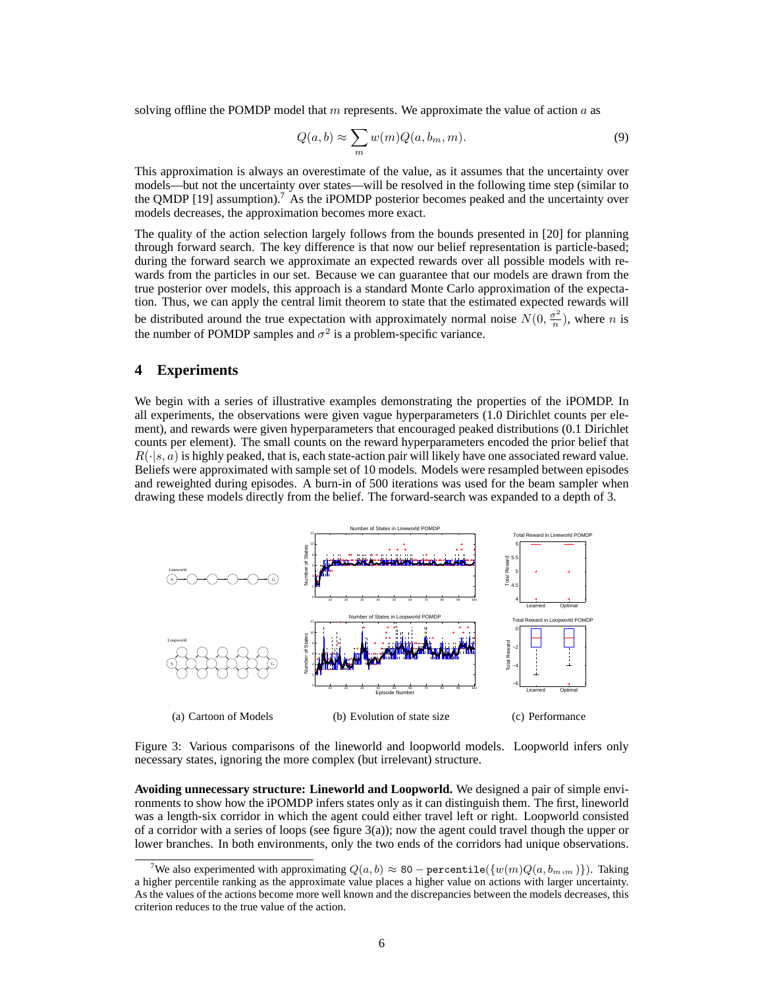solving offline the POMDP model that m represents. We approximate the value of action  $a$  as

$$
Q(a,b) \approx \sum_{m} w(m)Q(a,b_m,m). \tag{9}
$$

This approximation is always an overestimate of the value, as it assumes that the uncertainty over models—but not the uncertainty over states—will be resolved in the following time step (similar to the QMDP [19] assumption).<sup>7</sup> As the iPOMDP posterior becomes peaked and the uncertainty over models decreases, the approximation becomes more exact.

The quality of the action selection largely follows from the bounds presented in [20] for planning through forward search. The key difference is that now our belief representation is particle-based; during the forward search we approximate an expected rewards over all possible models with rewards from the particles in our set. Because we can guarantee that our models are drawn from the true posterior over models, this approach is a standard Monte Carlo approximation of the expectation. Thus, we can apply the central limit theorem to state that the estimated expected rewards will be distributed around the true expectation with approximately normal noise  $N(0, \frac{\sigma^2}{n})$  $\frac{\sigma^2}{n}$ ), where *n* is the number of POMDP samples and  $\sigma^2$  is a problem-specific variance.

# **4 Experiments**

We begin with a series of illustrative examples demonstrating the properties of the iPOMDP. In all experiments, the observations were given vague hyperparameters (1.0 Dirichlet counts per element), and rewards were given hyperparameters that encouraged peaked distributions (0.1 Dirichlet counts per element). The small counts on the reward hyperparameters encoded the prior belief that  $R(\cdot|s, a)$  is highly peaked, that is, each state-action pair will likely have one associated reward value. Beliefs were approximated with sample set of 10 models. Models were resampled between episodes and reweighted during episodes. A burn-in of 500 iterations was used for the beam sampler when drawing these models directly from the belief. The forward-search was expanded to a depth of 3.



Figure 3: Various comparisons of the lineworld and loopworld models. Loopworld infers only necessary states, ignoring the more complex (but irrelevant) structure.

**Avoiding unnecessary structure: Lineworld and Loopworld.** We designed a pair of simple environments to show how the iPOMDP infers states only as it can distinguish them. The first, lineworld was a length-six corridor in which the agent could either travel left or right. Loopworld consisted of a corridor with a series of loops (see figure 3(a)); now the agent could travel though the upper or lower branches. In both environments, only the two ends of the corridors had unique observations.

<sup>&</sup>lt;sup>7</sup>We also experimented with approximating  $Q(a, b) \approx 80$  – percentile $(\{w(m)Q(a, b_{m,m})\})$ . Taking a higher percentile ranking as the approximate value places a higher value on actions with larger uncertainty. As the values of the actions become more well known and the discrepancies between the models decreases, this criterion reduces to the true value of the action.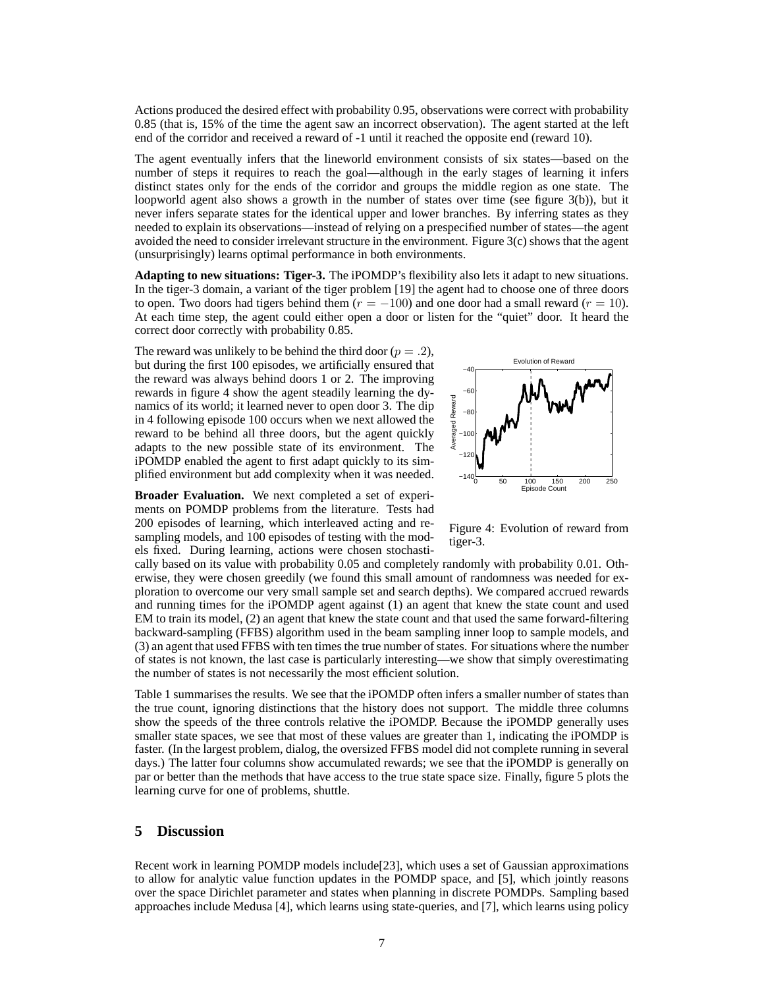Actions produced the desired effect with probability 0.95, observations were correct with probability 0.85 (that is, 15% of the time the agent saw an incorrect observation). The agent started at the left end of the corridor and received a reward of -1 until it reached the opposite end (reward 10).

The agent eventually infers that the lineworld environment consists of six states—based on the number of steps it requires to reach the goal—although in the early stages of learning it infers distinct states only for the ends of the corridor and groups the middle region as one state. The loopworld agent also shows a growth in the number of states over time (see figure 3(b)), but it never infers separate states for the identical upper and lower branches. By inferring states as they needed to explain its observations—instead of relying on a prespecified number of states—the agent avoided the need to consider irrelevant structure in the environment. Figure 3(c) shows that the agent (unsurprisingly) learns optimal performance in both environments.

**Adapting to new situations: Tiger-3.** The iPOMDP's flexibility also lets it adapt to new situations. In the tiger-3 domain, a variant of the tiger problem [19] the agent had to choose one of three doors to open. Two doors had tigers behind them  $(r = -100)$  and one door had a small reward  $(r = 10)$ . At each time step, the agent could either open a door or listen for the "quiet" door. It heard the correct door correctly with probability 0.85.

The reward was unlikely to be behind the third door ( $p = .2$ ), but during the first 100 episodes, we artificially ensured that the reward was always behind doors 1 or 2. The improving rewards in figure 4 show the agent steadily learning the dynamics of its world; it learned never to open door 3. The dip in 4 following episode 100 occurs when we next allowed the reward to be behind all three doors, but the agent quickly adapts to the new possible state of its environment. The iPOMDP enabled the agent to first adapt quickly to its simplified environment but add complexity when it was needed.

**Broader Evaluation.** We next completed a set of experiments on POMDP problems from the literature. Tests had 200 episodes of learning, which interleaved acting and resampling models, and 100 episodes of testing with the models fixed. During learning, actions were chosen stochasti-



Figure 4: Evolution of reward from tiger-3.

cally based on its value with probability 0.05 and completely randomly with probability 0.01. Otherwise, they were chosen greedily (we found this small amount of randomness was needed for exploration to overcome our very small sample set and search depths). We compared accrued rewards and running times for the iPOMDP agent against (1) an agent that knew the state count and used EM to train its model, (2) an agent that knew the state count and that used the same forward-filtering backward-sampling (FFBS) algorithm used in the beam sampling inner loop to sample models, and (3) an agent that used FFBS with ten times the true number of states. For situations where the number of states is not known, the last case is particularly interesting—we show that simply overestimating the number of states is not necessarily the most efficient solution.

Table 1 summarises the results. We see that the iPOMDP often infers a smaller number of states than the true count, ignoring distinctions that the history does not support. The middle three columns show the speeds of the three controls relative the iPOMDP. Because the iPOMDP generally uses smaller state spaces, we see that most of these values are greater than 1, indicating the iPOMDP is faster. (In the largest problem, dialog, the oversized FFBS model did not complete running in several days.) The latter four columns show accumulated rewards; we see that the iPOMDP is generally on par or better than the methods that have access to the true state space size. Finally, figure 5 plots the learning curve for one of problems, shuttle.

# **5 Discussion**

Recent work in learning POMDP models include[23], which uses a set of Gaussian approximations to allow for analytic value function updates in the POMDP space, and [5], which jointly reasons over the space Dirichlet parameter and states when planning in discrete POMDPs. Sampling based approaches include Medusa [4], which learns using state-queries, and [7], which learns using policy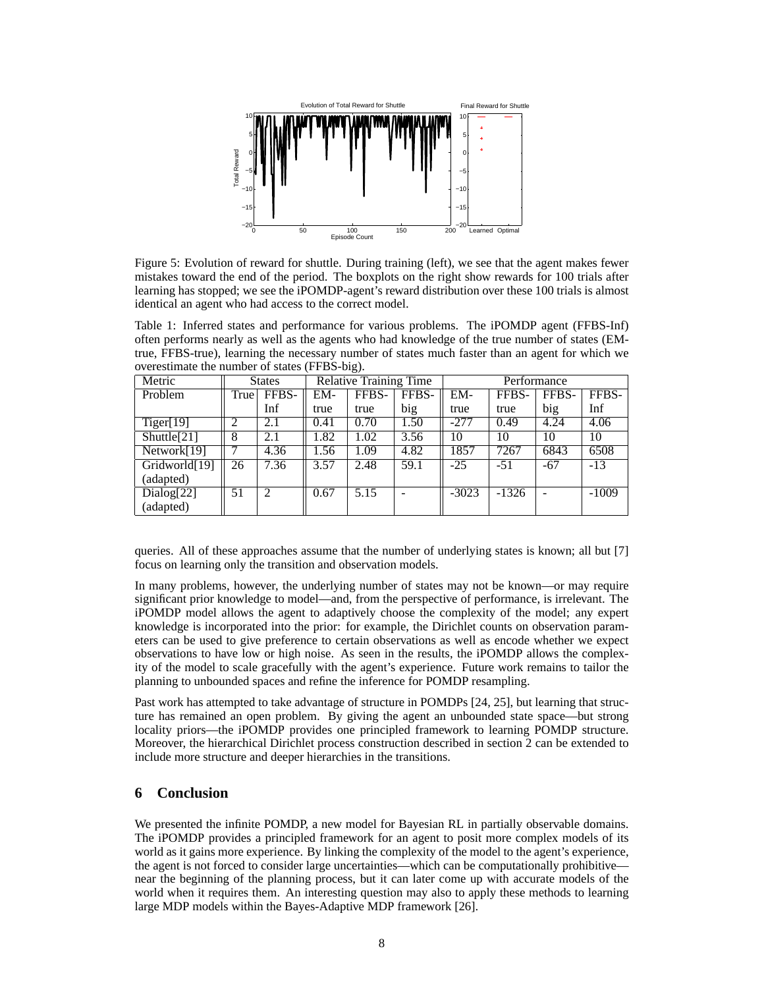

Figure 5: Evolution of reward for shuttle. During training (left), we see that the agent makes fewer mistakes toward the end of the period. The boxplots on the right show rewards for 100 trials after learning has stopped; we see the iPOMDP-agent's reward distribution over these 100 trials is almost identical an agent who had access to the correct model.

Table 1: Inferred states and performance for various problems. The iPOMDP agent (FFBS-Inf) often performs nearly as well as the agents who had knowledge of the true number of states (EMtrue, FFBS-true), learning the necessary number of states much faster than an agent for which we overestimate the number of states (FFBS-big).

| Metric                    | <b>States</b> |                | <b>Relative Training Time</b> |       |       | Performance |         |       |         |
|---------------------------|---------------|----------------|-------------------------------|-------|-------|-------------|---------|-------|---------|
| Problem                   | True          | FFBS-          | EM-                           | FFBS- | FFBS- | EM-         | FFBS-   | FFBS- | FFBS-   |
|                           |               | Inf            | true                          | true  | big   | true        | true    | big   | Inf     |
| Tiger[19]                 | 2             | 2.1            | 0.41                          | 0.70  | 1.50  | $-277$      | 0.49    | 4.24  | 4.06    |
| Shuttle[21]               | 8             | 2.1            | 1.82                          | 1.02  | 3.56  | 10          | 10      | 10    | 10      |
| Network[19]               |               | 4.36           | 1.56                          | 1.09  | 4.82  | 1857        | 7267    | 6843  | 6508    |
| Gridworld <sup>[19]</sup> | 26            | 7.36           | 3.57                          | 2.48  | 59.1  | $-25$       | $-51$   | $-67$ | $-13$   |
| (adapted)                 |               |                |                               |       |       |             |         |       |         |
| Dialog[22]                | 51            | $\overline{2}$ | 0.67                          | 5.15  |       | $-3023$     | $-1326$ |       | $-1009$ |
| (adapted)                 |               |                |                               |       |       |             |         |       |         |

queries. All of these approaches assume that the number of underlying states is known; all but [7] focus on learning only the transition and observation models.

In many problems, however, the underlying number of states may not be known—or may require significant prior knowledge to model—and, from the perspective of performance, is irrelevant. The iPOMDP model allows the agent to adaptively choose the complexity of the model; any expert knowledge is incorporated into the prior: for example, the Dirichlet counts on observation parameters can be used to give preference to certain observations as well as encode whether we expect observations to have low or high noise. As seen in the results, the iPOMDP allows the complexity of the model to scale gracefully with the agent's experience. Future work remains to tailor the planning to unbounded spaces and refine the inference for POMDP resampling.

Past work has attempted to take advantage of structure in POMDPs [24, 25], but learning that structure has remained an open problem. By giving the agent an unbounded state space—but strong locality priors—the iPOMDP provides one principled framework to learning POMDP structure. Moreover, the hierarchical Dirichlet process construction described in section 2 can be extended to include more structure and deeper hierarchies in the transitions.

## **6 Conclusion**

We presented the infinite POMDP, a new model for Bayesian RL in partially observable domains. The iPOMDP provides a principled framework for an agent to posit more complex models of its world as it gains more experience. By linking the complexity of the model to the agent's experience, the agent is not forced to consider large uncertainties—which can be computationally prohibitive near the beginning of the planning process, but it can later come up with accurate models of the world when it requires them. An interesting question may also to apply these methods to learning large MDP models within the Bayes-Adaptive MDP framework [26].